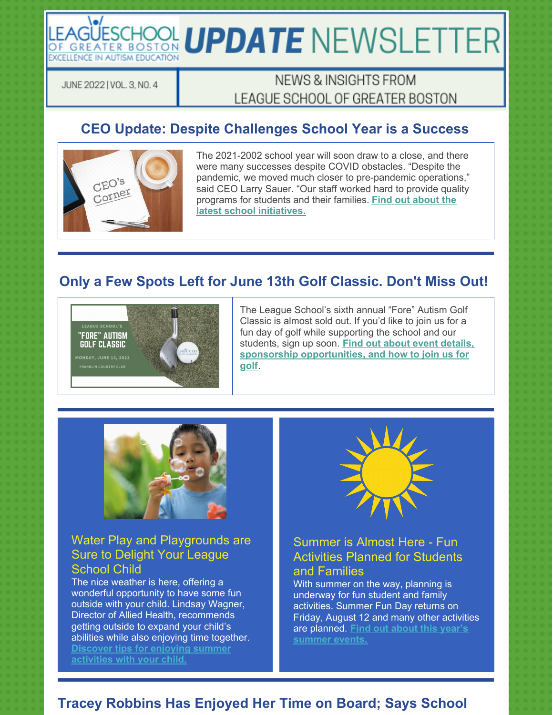# LEAGÜESCHOOL UPDATE NEWSLETTER **EXCELLENCE IN AUTISM EDUCATION**

JUNE 2022 | VOL. 3, NO. 4

# NEWS & INSIGHTS FROM LEAGUE SCHOOL OF GREATER BOSTON

# **CEO Update: Despite Challenges School Year is a Success**



The 2021-2002 school year will soon draw to a close, and there were many successes despite COVID obstacles. "Despite the pandemic, we moved much closer to pre-pandemic operations," said CEO Larry Sauer. "Our staff worked hard to provide quality programs for students and their families. **Find out about the latest school initiatives.**

## **Only a Few Spots Left for June 13th Golf Classic. Don't Miss Out!**



The League School's sixth annual "Fore" Autism Golf Classic is almost sold out. If you'd like to join us for a fun day of golf while supporting the school and our students, sign up soon. **Find out about event details, sponsorship opportunities, and how to join us for golf**.



### Water Play and Playgrounds are Sure to Delight Your League School Child

The nice weather is here, offering a wonderful opportunity to have some fun outside with your child. Lindsay Wagner, Director of Allied Health, recommends getting outside to expand your child's abilities while also enjoying time together. **Discover tips for enjoying summer activities with your child.**



#### Summer is Almost Here - Fun Activities Planned for Students and Families

With summer on the way, planning is underway for fun student and family activities. Summer Fun Day returns on Friday, August 12 and many other activities are planned. **Find out about this year's summer events.**

## **Tracey Robbins Has Enjoyed Her Time on Board; Says School**